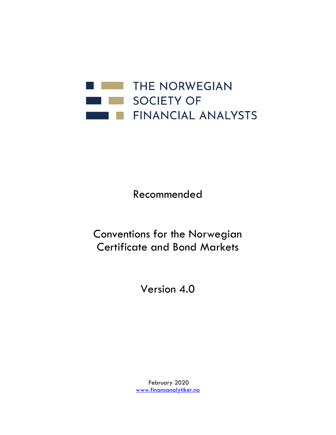

Recommended

Conventions for the Norwegian Certificate and Bond Markets

Version 4.0

February 2020 [www.finansanalytiker.no](http://www.finansanalytiker.no/)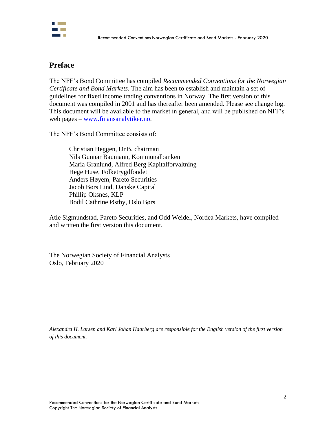

## **Preface**

The NFF's Bond Committee has compiled *Recommended Conventions for the Norwegian Certificate and Bond Markets*. The aim has been to establish and maintain a set of guidelines for fixed income trading conventions in Norway. The first version of this document was compiled in 2001 and has thereafter been amended. Please see change log. This document will be available to the market in general, and will be published on NFF's web pages – [www.finansanalytiker.no.](http://www.finansanalytiker.no/)

The NFF's Bond Committee consists of:

Christian Heggen, DnB, chairman Nils Gunnar Baumann, Kommunalbanken Maria Granlund, Alfred Berg Kapitalforvaltning Hege Huse, Folketrygdfondet Anders Høyem, Pareto Securities Jacob Børs Lind, Danske Capital Phillip Oksnes, KLP Bodil Cathrine Østby, Oslo Børs

Atle Sigmundstad, Pareto Securities, and Odd Weidel, Nordea Markets, have compiled and written the first version this document.

The Norwegian Society of Financial Analysts Oslo, February 2020

*Alexandra H. Larsen and Karl Johan Haarberg are responsible for the English version of the first version of this document.*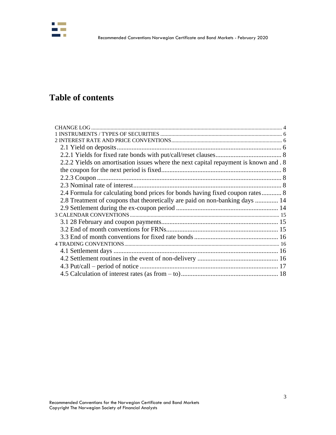

# **Table of contents**

| 2.2.2 Yields on amortisation issues where the next capital repayment is known and . 8 |  |
|---------------------------------------------------------------------------------------|--|
|                                                                                       |  |
|                                                                                       |  |
|                                                                                       |  |
| 2.4 Formula for calculating bond prices for bonds having fixed coupon rates 8         |  |
| 2.8 Treatment of coupons that theoretically are paid on non-banking days  14          |  |
|                                                                                       |  |
|                                                                                       |  |
|                                                                                       |  |
|                                                                                       |  |
|                                                                                       |  |
|                                                                                       |  |
|                                                                                       |  |
|                                                                                       |  |
|                                                                                       |  |
|                                                                                       |  |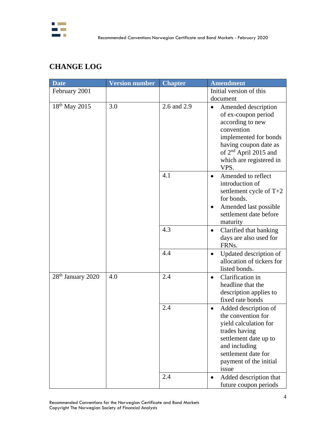

# <span id="page-3-0"></span>**CHANGE LOG**

| <b>Date</b>                   | <b>Version number</b> | <b>Chapter</b> | <b>Amendment</b>                                                                                                                                                                                                    |
|-------------------------------|-----------------------|----------------|---------------------------------------------------------------------------------------------------------------------------------------------------------------------------------------------------------------------|
| February 2001                 |                       |                | Initial version of this                                                                                                                                                                                             |
|                               |                       |                | document                                                                                                                                                                                                            |
| 18 <sup>th</sup> May 2015     | 3.0                   | 2.6 and 2.9    | Amended description<br>$\bullet$<br>of ex-coupon period<br>according to new<br>convention<br>implemented for bonds<br>having coupon date as<br>of 2 <sup>nd</sup> April 2015 and<br>which are registered in<br>VPS. |
|                               |                       | 4.1            | Amended to reflect<br>$\bullet$<br>introduction of<br>settlement cycle of $T+2$<br>for bonds.<br>Amended last possible<br>٠<br>settlement date before<br>maturity                                                   |
|                               |                       | 4.3            | Clarified that banking<br>$\bullet$<br>days are also used for<br>FRNs.                                                                                                                                              |
|                               |                       | 4.4            | Updated description of<br>$\bullet$<br>allocation of tickers for<br>listed bonds.                                                                                                                                   |
| 28 <sup>th</sup> January 2020 | 4.0                   | 2.4            | Clarification in<br>$\bullet$<br>headline that the<br>description applies to<br>fixed rate bonds                                                                                                                    |
|                               |                       | 2.4            | Added description of<br>٠<br>the convention for<br>yield calculation for<br>trades having<br>settlement date up to<br>and including<br>settlement date for<br>payment of the initial<br>issue                       |
|                               |                       | 2.4            | Added description that<br>future coupon periods                                                                                                                                                                     |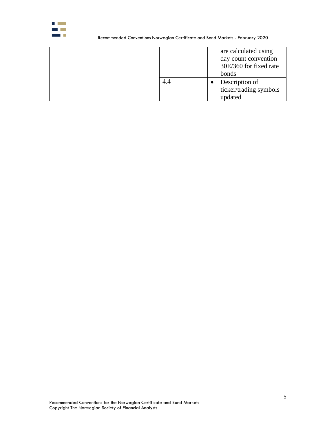

#### Recommended Conventions Norwegian Certificate and Bond Markets - February 2020

|     | are calculated using<br>day count convention<br>30E/360 for fixed rate<br>bonds |
|-----|---------------------------------------------------------------------------------|
| 4.4 | Description of<br>ticker/trading symbols<br>updated                             |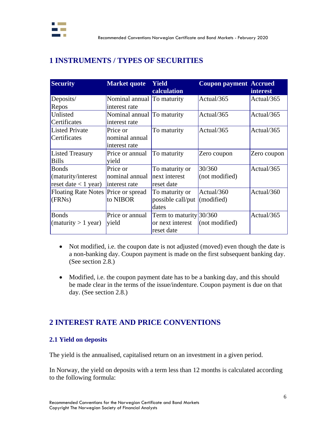

# <span id="page-5-0"></span>**1 INSTRUMENTS / TYPES OF SECURITIES**

| <b>Security</b>                                               | <b>Market quote</b>                         | <b>Yield</b><br>calculation                                 | <b>Coupon payment Accrued</b> | <b>interest</b> |
|---------------------------------------------------------------|---------------------------------------------|-------------------------------------------------------------|-------------------------------|-----------------|
| Deposits/<br>Repos                                            | Nominal annual To maturity<br>interest rate |                                                             | Actual/365                    | Actual/365      |
| Unlisted<br>Certificates                                      | Nominal annual To maturity<br>interest rate |                                                             | Actual/365                    | Actual/365      |
| <b>Listed Private</b><br>Certificates                         | Price or<br>nominal annual<br>interest rate | To maturity                                                 | Actual/365                    | Actual/365      |
| <b>Listed Treasury</b><br><b>Bills</b>                        | Price or annual<br>yield                    | To maturity                                                 | Zero coupon                   | Zero coupon     |
| <b>Bonds</b><br>(maturity/interest)<br>reset date $<$ 1 year) | Price or<br>nominal annual<br>interest rate | To maturity or<br>next interest<br>reset date               | 30/360<br>(not modified)      | Actual/365      |
| Floating Rate Notes Price or spread<br>(FRNs)                 | to NIBOR                                    | To maturity or<br>possible call/put<br>dates                | Actual/360<br>(modified)      | Actual/360      |
| <b>Bonds</b><br>(maturity > 1 year)                           | Price or annual<br>yield                    | Term to maturity $30/360$<br>or next interest<br>reset date | (not modified)                | Actual/365      |

- Not modified, i.e. the coupon date is not adjusted (moved) even though the date is a non-banking day. Coupon payment is made on the first subsequent banking day. (See section 2.8.)
- Modified, i.e. the coupon payment date has to be a banking day, and this should be made clear in the terms of the issue/indenture. Coupon payment is due on that day. (See section 2.8.)

# <span id="page-5-1"></span>**2 INTEREST RATE AND PRICE CONVENTIONS**

## <span id="page-5-2"></span>**2.1 Yield on deposits**

The yield is the annualised, capitalised return on an investment in a given period.

In Norway, the yield on deposits with a term less than 12 months is calculated according to the following formula: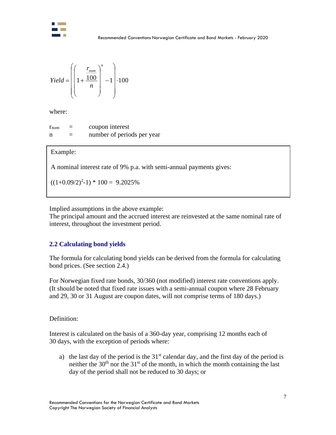

$$
Yield = \left(\left(1 + \frac{\frac{r_{nom}}{100}}{n}\right)^n - 1\right) \cdot 100
$$

where:

 $r_{\text{nom}}$  = coupon interest n = number of periods per year

## Example:

A nominal interest rate of 9% p.a. with semi-annual payments gives:

 $((1+0.09/2)^2-1)*(100 = 9.2025\%$ 

Implied assumptions in the above example:

The principal amount and the accrued interest are reinvested at the same nominal rate of interest, throughout the investment period.

## **2.2 Calculating bond yields**

The formula for calculating bond yields can be derived from the formula for calculating bond prices. (See section 2.4.)

For Norwegian fixed rate bonds, 30/360 (not modified) interest rate conventions apply. (It should be noted that fixed rate issues with a semi-annual coupon where 28 February and 29, 30 or 31 August are coupon dates, will not comprise terms of 180 days.)

Definition:

Interest is calculated on the basis of a 360-day year, comprising 12 months each of 30 days, with the exception of periods where:

a) the last day of the period is the  $31<sup>st</sup>$  calendar day, and the first day of the period is neither the  $30<sup>th</sup>$  nor the  $31<sup>st</sup>$  of the month, in which the month containing the last day of the period shall not be reduced to 30 days; or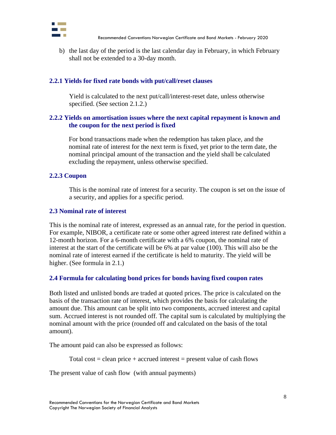

b) the last day of the period is the last calendar day in February, in which February shall not be extended to a 30-day month.

### <span id="page-7-0"></span>**2.2.1 Yields for fixed rate bonds with put/call/reset clauses**

Yield is calculated to the next put/call/interest-reset date, unless otherwise specified. (See section 2.1.2.)

## <span id="page-7-2"></span><span id="page-7-1"></span>**2.2.2 Yields on amortisation issues where the next capital repayment is known and the coupon for the next period is fixed**

For bond transactions made when the redemption has taken place, and the nominal rate of interest for the next term is fixed, yet prior to the term date, the nominal principal amount of the transaction and the yield shall be calculated excluding the repayment, unless otherwise specified.

#### <span id="page-7-3"></span>**2.2.3 Coupon**

This is the nominal rate of interest for a security. The coupon is set on the issue of a security, and applies for a specific period.

### <span id="page-7-4"></span>**2.3 Nominal rate of interest**

This is the nominal rate of interest, expressed as an annual rate, for the period in question. For example, NIBOR, a certificate rate or some other agreed interest rate defined within a 12-month horizon. For a 6-month certificate with a 6% coupon, the nominal rate of interest at the start of the certificate will be 6% at par value (100). This will also be the nominal rate of interest earned if the certificate is held to maturity. The yield will be higher. (See formula in 2.1.)

### <span id="page-7-5"></span>**2.4 Formula for calculating bond prices for bonds having fixed coupon rates**

Both listed and unlisted bonds are traded at quoted prices. The price is calculated on the basis of the transaction rate of interest, which provides the basis for calculating the amount due. This amount can be split into two components, accrued interest and capital sum. Accrued interest is not rounded off. The capital sum is calculated by multiplying the nominal amount with the price (rounded off and calculated on the basis of the total amount).

The amount paid can also be expressed as follows:

Total cost  $=$  clean price  $+$  accrued interest  $=$  present value of cash flows

The present value of cash flow (with annual payments)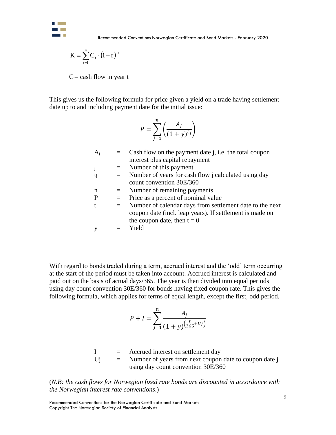

$$
K=\sum_{t=1}^n C_{t} \cdot (1+r)^{-t}
$$

$$
P = \sum_{j=1}^{n} \left( \frac{A_j}{(1+y)^{t_j}} \right)
$$

|                                                       | $K = \sum_{t=1}^{t} C_t \cdot (1+r)^{-t}$ |                         |                                                                                                                                                                                                                                                                                                                                                                                                                                                                                                                                                        |
|-------------------------------------------------------|-------------------------------------------|-------------------------|--------------------------------------------------------------------------------------------------------------------------------------------------------------------------------------------------------------------------------------------------------------------------------------------------------------------------------------------------------------------------------------------------------------------------------------------------------------------------------------------------------------------------------------------------------|
|                                                       | $C_t$ = cash flow in year t               |                         |                                                                                                                                                                                                                                                                                                                                                                                                                                                                                                                                                        |
|                                                       |                                           |                         | This gives us the following formula for price given a yield on a trade having settlement<br>date up to and including payment date for the initial issue:                                                                                                                                                                                                                                                                                                                                                                                               |
|                                                       |                                           |                         | $P = \sum_{i=1}^{n} \left( \frac{A_j}{(1+y)^{t_j}} \right)$                                                                                                                                                                                                                                                                                                                                                                                                                                                                                            |
|                                                       | $A_j$                                     | $=$                     | Cash flow on the payment date j, i.e. the total coupon<br>interest plus capital repayment                                                                                                                                                                                                                                                                                                                                                                                                                                                              |
|                                                       | j                                         | $\equiv$                | Number of this payment                                                                                                                                                                                                                                                                                                                                                                                                                                                                                                                                 |
|                                                       | tj                                        | $\equiv$                | Number of years for cash flow j calculated using day<br>count convention 30E/360                                                                                                                                                                                                                                                                                                                                                                                                                                                                       |
|                                                       | n                                         |                         | Number of remaining payments                                                                                                                                                                                                                                                                                                                                                                                                                                                                                                                           |
|                                                       | $\mathbf{P}$                              | $\equiv$                | Price as a percent of nominal value                                                                                                                                                                                                                                                                                                                                                                                                                                                                                                                    |
|                                                       | t                                         | $=$                     | Number of calendar days from settlement date to the next<br>coupon date (incl. leap years). If settlement is made on<br>the coupon date, then $t = 0$                                                                                                                                                                                                                                                                                                                                                                                                  |
|                                                       | y                                         | $\qquad \qquad =\qquad$ | Yield                                                                                                                                                                                                                                                                                                                                                                                                                                                                                                                                                  |
|                                                       |                                           |                         | With regard to bonds traded during a term, accrued interest and the 'odd' term occurring<br>at the start of the period must be taken into account. Accrued interest is calculated and<br>paid out on the basis of actual days/365. The year is then divided into equal periods<br>using day count convention 30E/360 for bonds having fixed coupon rate. This gives the<br>following formula, which applies for terms of equal length, except the first, odd period.<br>$P + I = \sum_{i=1}^{n} \frac{A_i}{(1 + v)^{\left(\frac{t}{365} + Uj\right)}}$ |
|                                                       |                                           |                         | I = Accrued interest on settlement day<br>Uj = Number of years from next coupon date to coupon date j<br>using day count convention 30E/360                                                                                                                                                                                                                                                                                                                                                                                                            |
| the Norwegian interest rate conventions.)             |                                           |                         | (N.B: the cash flows for Norwegian fixed rate bonds are discounted in accordance with                                                                                                                                                                                                                                                                                                                                                                                                                                                                  |
| Copyright The Norwegian Society of Financial Analysts |                                           |                         | Recommended Conventions for the Norwegian Certificate and Bond Markets                                                                                                                                                                                                                                                                                                                                                                                                                                                                                 |

$$
P + I = \sum_{j=1}^{n} \frac{A_j}{(1+y)^{\left(\frac{t}{365} + Uj\right)}}
$$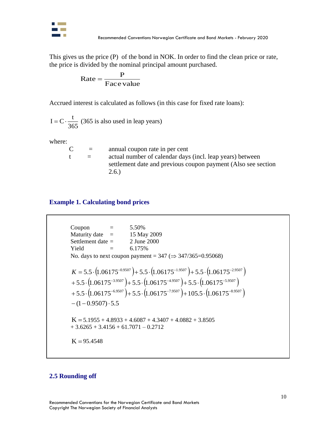

This gives us the price (P) of the bond in NOK. In order to find the clean price or rate, the price is divided by the nominal principal amount purchased.

$$
Rate = \frac{P}{Face\ value}
$$

Accrued interest is calculated as follows (in this case for fixed rate loans):

365  $I = C \cdot \frac{t}{\sqrt{1-t^2}}$  (365 is also used in leap years)

where:

| $\mathsf{C}^{\mathsf{I}}$ | $=$ | annual coupon rate in per cent                                |
|---------------------------|-----|---------------------------------------------------------------|
|                           | $=$ | actual number of calendar days (incl. leap years) between     |
|                           |     | settlement date and previous coupon payment (Also see section |
|                           |     | 2.6.                                                          |

## **Example 1. Calculating bond prices**

Coupon

\n
$$
= 5.50\%
$$
\nMatrix date

\n
$$
= 15 \text{ May } 2009
$$
\nSettlement date

\n
$$
= 2 \text{ June } 2000
$$
\nYield

\n
$$
= 6.175\%
$$
\nNo. days to next coupon payment

\n
$$
= 347 \left(\Rightarrow 347/365=0.95068\right)
$$
\n
$$
K = 5.5 \cdot \left(1.06175^{-0.9507}\right) + 5.5 \cdot \left(1.06175^{-1.9507}\right) + 5.5 \cdot \left(1.06175^{-2.9507}\right)
$$
\n
$$
+ 5.5 \cdot \left(1.06175^{-3.9507}\right) + 5.5 \cdot \left(1.06175^{-4.9507}\right) + 5.5 \cdot \left(1.06175^{-5.9507}\right)
$$
\n
$$
- (1 - 0.9507) \cdot 5.5
$$
\n
$$
= 16.5 \times 10.06175^{-6.9507} + 5.5 \cdot \left(1.06175^{-7.9507}\right) + 105.5 \cdot \left(1.06175^{-8.9507}\right)
$$
\n
$$
= 16.5 \times 10^{-1}
$$
\n
$$
= 16.5 \times 10^{-1}
$$
\n
$$
= 16.5 \times 10^{-1}
$$
\n
$$
= 16.5 \times 10^{-1}
$$
\n
$$
= 16.5 \times 10^{-1}
$$
\n
$$
= 16.5 \times 10^{-1}
$$
\n
$$
= 16.5 \times 10^{-1}
$$
\n
$$
= 16.5 \times 10^{-1}
$$
\n
$$
= 16.5 \times 10^{-1}
$$
\n
$$
= 16.5 \times 10^{-1}
$$
\n
$$
= 16.5 \times 10^{-1}
$$
\n
$$
= 16.5 \times 10^{-1}
$$
\n
$$
= 16.5 \times 10^{-1}
$$
\n

### **2.5 Rounding off**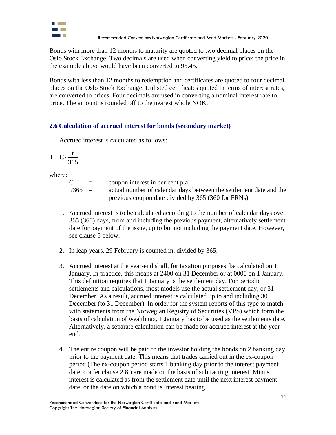

Bonds with more than 12 months to maturity are quoted to two decimal places on the Oslo Stock Exchange. Two decimals are used when converting yield to price; the price in the example above would have been converted to 95.45.

Bonds with less than 12 months to redemption and certificates are quoted to four decimal places on the Oslo Stock Exchange. Unlisted certificates quoted in terms of interest rates, are converted to prices. Four decimals are used in converting a nominal interest rate to price. The amount is rounded off to the nearest whole NOK.

## **2.6 Calculation of accrued interest for bonds (secondary market)**

Accrued interest is calculated as follows:

$$
I = C \cdot \frac{t}{365}
$$

where:

| $\mathsf{C}^{\scriptscriptstyle{-}}$ | $\equiv$ | coupon interest in per cent p.a.                                   |
|--------------------------------------|----------|--------------------------------------------------------------------|
| $t/365 =$                            |          | actual number of calendar days between the settlement date and the |
|                                      |          | previous coupon date divided by 365 (360 for FRNs)                 |

- 1. Accrued interest is to be calculated according to the number of calendar days over 365 (360) days, from and including the previous payment, alternatively settlement date for payment of the issue, up to but not including the payment date. However, see clause 5 below.
- 2. In leap years, 29 February is counted in, divided by 365.
- 3. Accrued interest at the year-end shall, for taxation purposes, be calculated on 1 January. In practice, this means at 2400 on 31 December or at 0000 on 1 January. This definition requires that 1 January is the settlement day. For periodic settlements and calculations, most models use the actual settlement day, or 31 December. As a result, accrued interest is calculated up to and including 30 December (to 31 December). In order for the system reports of this type to match with statements from the Norwegian Registry of Securities (VPS) which form the basis of calculation of wealth tax, 1 January has to be used as the settlements date. Alternatively, a separate calculation can be made for accrued interest at the yearend.
- 4. The entire coupon will be paid to the investor holding the bonds on 2 banking day prior to the payment date. This means that trades carried out in the ex-coupon period (The ex-coupon period starts 1 banking day prior to the interest payment date, confer clause 2.8.) are made on the basis of subtracting interest. Minus interest is calculated as from the settlement date until the next interest payment date, or the date on which a bond is interest bearing.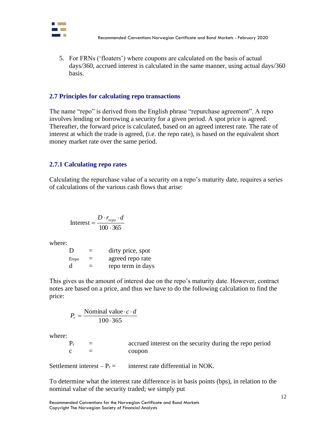

5. For FRNs ('floaters') where coupons are calculated on the basis of actual days/360, accrued interest is calculated in the same manner, using actual days/360 basis.

#### **2.7 Principles for calculating repo transactions**

The name "repo" is derived from the English phrase "repurchase agreement". A repo involves lending or borrowing a security for a given period. A spot price is agreed. Thereafter, the forward price is calculated, based on an agreed interest rate. The rate of interest at which the trade is agreed, (i.e. the repo rate), is based on the equivalent short money market rate over the same period.

### **2.7.1 Calculating repo rates**

Calculating the repurchase value of a security on a repo's maturity date, requires a series of calculations of the various cash flows that arise:

$$
Interest = \frac{D \cdot r_{\text{repo}} \cdot d}{100 \cdot 365}
$$

where:

| D               | $\equiv$ | dirty price, spot |
|-----------------|----------|-------------------|
| $r_{\rm{repo}}$ | $=$      | agreed repo rate  |
| d               | $\equiv$ | repo term in days |

This gives us the amount of interest due on the repo's maturity date. However, contract notes are based on a price, and thus we have to do the following calculation to find the price:

$$
P_r = \frac{\text{Nominal value} \cdot c \cdot d}{100 \cdot 365}
$$

where:

| $P_r$ | $=$ | accrued interest on the security during the repo period |
|-------|-----|---------------------------------------------------------|
|       |     | coupon                                                  |

Settlement interest –  $P_r =$  interest rate differential in NOK.

To determine what the interest rate difference is in basis points (bps), in relation to the nominal value of the security traded; we simply put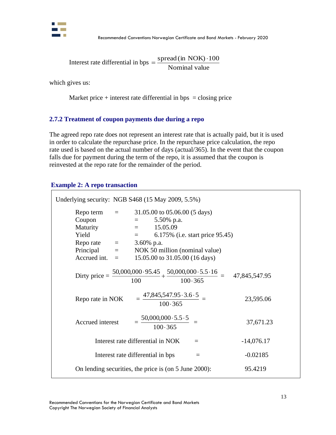

Interest rate differential in bps  $=$   $\frac{\text{spread (in NOK)}\cdot 100}{\text{Total }N}$ Nominal value

which gives us:

Market price  $+$  interest rate differential in bps  $=$  closing price

## **2.7.2 Treatment of coupon payments due during a repo**

The agreed repo rate does not represent an interest rate that is actually paid, but it is used in order to calculate the repurchase price. In the repurchase price calculation, the repo rate used is based on the actual number of days (actual/365). In the event that the coupon falls due for payment during the term of the repo, it is assumed that the coupon is reinvested at the repo rate for the remainder of the period.

#### **Example 2: A repo transaction**

| Underlying security: NGB S468 (15 May 2009, 5.5%) |                                                                                                                                                                                                                                           |          |              |
|---------------------------------------------------|-------------------------------------------------------------------------------------------------------------------------------------------------------------------------------------------------------------------------------------------|----------|--------------|
| Reporate $=$ 3.60% p.a.                           | Repo term $= 31.05.00$ to $05.06.00$ (5 days)<br>Coupon = 5.50% p.a.<br>Maturity = 15.05.09<br>Yield = 6.175% (i.e. start price 95.45)<br>Principal $=$ NOK 50 million (nominal value)<br>Accrued int. $=$ 15.05.00 to 31.05.00 (16 days) |          |              |
|                                                   | Dirty price = $\frac{50,000,000 \cdot 95.45}{100} + \frac{50,000,000 \cdot 5.5 \cdot 16}{100 \cdot 365} = 47,845,547.95$                                                                                                                  |          |              |
| Reporate in NOK                                   | $=\frac{47,845,547.95\cdot3.6\cdot5}{100\cdot365}=$                                                                                                                                                                                       |          | 23,595.06    |
| Accrued interest                                  | $=\frac{50,000,000 \cdot 5.5 \cdot 5}{100 \cdot 365}$ =                                                                                                                                                                                   |          | 37,671.23    |
|                                                   | Interest rate differential in NOK                                                                                                                                                                                                         | $=$      | $-14,076.17$ |
|                                                   | Interest rate differential in bps                                                                                                                                                                                                         | $\equiv$ | $-0.02185$   |
|                                                   | On lending securities, the price is (on 5 June 2000):                                                                                                                                                                                     |          | 95.4219      |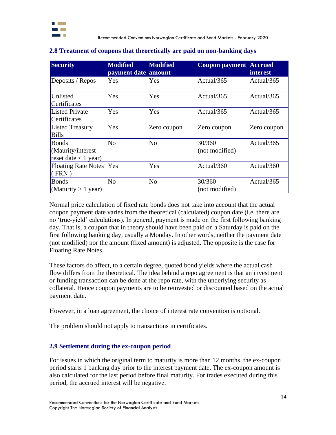

| <b>Security</b>                                             | <b>Modified</b>     | <b>Modified</b> | <b>Coupon payment Accrued</b> |                 |
|-------------------------------------------------------------|---------------------|-----------------|-------------------------------|-----------------|
|                                                             | payment date amount |                 |                               | <i>interest</i> |
| Deposits / Repos                                            | Yes                 | Yes             | Actual/365                    | Actual/365      |
| Unlisted<br>Certificates                                    | Yes                 | Yes             | Actual/365                    | Actual/365      |
| <b>Listed Private</b><br>Certificates                       | Yes                 | Yes             | Actual/365                    | Actual/365      |
| <b>Listed Treasury</b><br><b>Bills</b>                      | Yes                 | Zero coupon     | Zero coupon                   | Zero coupon     |
| <b>Bonds</b><br>(Maurity/interest<br>reset date $<$ 1 year) | No                  | N <sub>o</sub>  | 30/360<br>(not modified)      | Actual/365      |
| Floating Rate Notes  Yes<br>(FRN)                           |                     | Yes             | Actual/360                    | Actual/360      |
| <b>B</b> onds<br>$M$ aturity > 1 year)                      | N <sub>0</sub>      | N <sub>o</sub>  | 30/360<br>(not modified)      | Actual/365      |

#### <span id="page-13-0"></span>**2.8 Treatment of coupons that theoretically are paid on non-banking days**

Normal price calculation of fixed rate bonds does not take into account that the actual coupon payment date varies from the theoretical (calculated) coupon date (i.e. there are no 'true-yield' calculations). In general, payment is made on the first following banking day. That is, a coupon that in theory should have been paid on a Saturday is paid on the first following banking day, usually a Monday. In other words, neither the payment date (not modified) nor the amount (fixed amount) is adjusted. The opposite is the case for Floating Rate Notes.

These factors do affect, to a certain degree, quoted bond yields where the actual cash flow differs from the theoretical. The idea behind a repo agreement is that an investment or funding transaction can be done at the repo rate, with the underlying security as collateral. Hence coupon payments are to be reinvested or discounted based on the actual payment date.

However, in a loan agreement, the choice of interest rate convention is optional.

The problem should not apply to transactions in certificates.

## <span id="page-13-1"></span>**2.9 Settlement during the ex-coupon period**

For issues in which the original term to maturity is more than 12 months, the ex-coupon period starts 1 banking day prior to the interest payment date. The ex-coupon amount is also calculated for the last period before final maturity. For trades executed during this period, the accrued interest will be negative.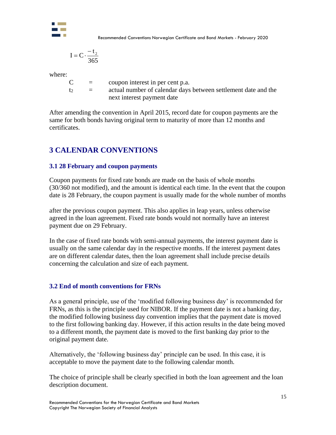

Recommended Conventions Norwegian Certificate and Bond Markets - February 2020

$$
I = C \cdot \frac{-t_2}{365}
$$

where:

| $\mathsf{C}$ | $=$      | coupon interest in per cent p.a.                               |
|--------------|----------|----------------------------------------------------------------|
| t2.          | $\equiv$ | actual number of calendar days between settlement date and the |
|              |          | next interest payment date                                     |

After amending the convention in April 2015, record date for coupon payments are the same for both bonds having original term to maturity of more than 12 months and certificates.

# <span id="page-14-0"></span>**3 CALENDAR CONVENTIONS**

## <span id="page-14-1"></span>**3.1 28 February and coupon payments**

Coupon payments for fixed rate bonds are made on the basis of whole months (30/360 not modified), and the amount is identical each time. In the event that the coupon date is 28 February, the coupon payment is usually made for the whole number of months

after the previous coupon payment. This also applies in leap years, unless otherwise agreed in the loan agreement. Fixed rate bonds would not normally have an interest payment due on 29 February.

In the case of fixed rate bonds with semi-annual payments, the interest payment date is usually on the same calendar day in the respective months. If the interest payment dates are on different calendar dates, then the loan agreement shall include precise details concerning the calculation and size of each payment.

## <span id="page-14-2"></span>**3.2 End of month conventions for FRNs**

As a general principle, use of the 'modified following business day' is recommended for FRNs, as this is the principle used for NIBOR. If the payment date is not a banking day, the modified following business day convention implies that the payment date is moved to the first following banking day. However, if this action results in the date being moved to a different month, the payment date is moved to the first banking day prior to the original payment date.

Alternatively, the 'following business day' principle can be used. In this case, it is acceptable to move the payment date to the following calendar month.

The choice of principle shall be clearly specified in both the loan agreement and the loan description document.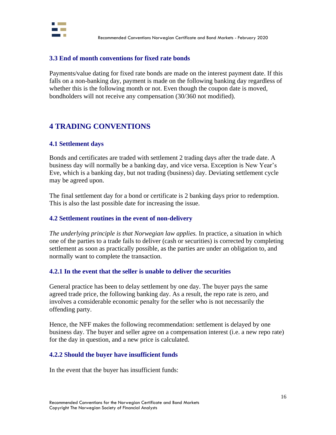

### <span id="page-15-0"></span>**3.3 End of month conventions for fixed rate bonds**

Payments/value dating for fixed rate bonds are made on the interest payment date. If this falls on a non-banking day, payment is made on the following banking day regardless of whether this is the following month or not. Even though the coupon date is moved, bondholders will not receive any compensation (30/360 not modified).

## <span id="page-15-1"></span>**4 TRADING CONVENTIONS**

### <span id="page-15-2"></span>**4.1 Settlement days**

Bonds and certificates are traded with settlement 2 trading days after the trade date. A business day will normally be a banking day, and vice versa. Exception is New Year's Eve, which is a banking day, but not trading (business) day. Deviating settlement cycle may be agreed upon.

The final settlement day for a bond or certificate is 2 banking days prior to redemption. This is also the last possible date for increasing the issue.

### <span id="page-15-3"></span>**4.2 Settlement routines in the event of non-delivery**

*The underlying principle is that Norwegian law applies.* In practice, a situation in which one of the parties to a trade fails to deliver (cash or securities) is corrected by completing settlement as soon as practically possible, as the parties are under an obligation to, and normally want to complete the transaction.

### **4.2.1 In the event that the seller is unable to deliver the securities**

General practice has been to delay settlement by one day. The buyer pays the same agreed trade price, the following banking day. As a result, the repo rate is zero, and involves a considerable economic penalty for the seller who is not necessarily the offending party.

Hence, the NFF makes the following recommendation: settlement is delayed by one business day. The buyer and seller agree on a compensation interest (i.e. a new repo rate) for the day in question, and a new price is calculated.

### **4.2.2 Should the buyer have insufficient funds**

In the event that the buyer has insufficient funds: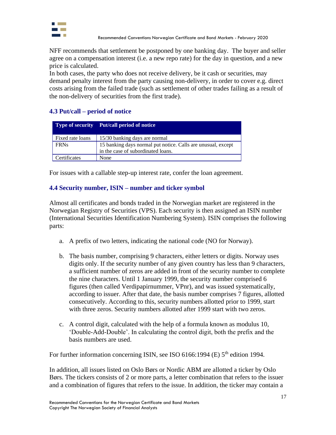

NFF recommends that settlement be postponed by one banking day. The buyer and seller agree on a compensation interest (i.e. a new repo rate) for the day in question, and a new price is calculated.

In both cases, the party who does not receive delivery, be it cash or securities, may demand penalty interest from the party causing non-delivery, in order to cover e.g. direct costs arising from the failed trade (such as settlement of other trades failing as a result of the non-delivery of securities from the first trade).

## <span id="page-16-0"></span>**4.3 Put/call – period of notice**

|                  | <b>Type of security</b> Put/call period of notice            |
|------------------|--------------------------------------------------------------|
| Fixed rate loans | 15/30 banking days are normal                                |
| <b>FRNs</b>      | 15 banking days normal put notice. Calls are unusual, except |
|                  | in the case of subordinated loans.                           |
| Certificates     | None                                                         |

For issues with a callable step-up interest rate, confer the loan agreement.

## **4.4 Security number, ISIN – number and ticker symbol**

Almost all certificates and bonds traded in the Norwegian market are registered in the Norwegian Registry of Securities (VPS). Each security is then assigned an ISIN number (International Securities Identification Numbering System). ISIN comprises the following parts:

- a. A prefix of two letters, indicating the national code (NO for Norway).
- b. The basis number, comprising 9 characters, either letters or digits. Norway uses digits only. If the security number of any given country has less than 9 characters, a sufficient number of zeros are added in front of the security number to complete the nine characters. Until 1 January 1999, the security number comprised 6 figures (then called Verdipapirnummer, VPnr), and was issued systematically, according to issuer. After that date, the basis number comprises 7 figures, allotted consecutively. According to this, security numbers allotted prior to 1999, start with three zeros. Security numbers allotted after 1999 start with two zeros.
- c. A control digit, calculated with the help of a formula known as modulus 10, 'Double-Add-Double'. In calculating the control digit, both the prefix and the basis numbers are used.

For further information concerning ISIN, see ISO  $6166:1994$  (E)  $5<sup>th</sup>$  edition 1994.

In addition, all issues listed on Oslo Børs or Nordic ABM are allotted a ticker by Oslo Børs. The tickers consists of 2 or more parts, a letter combination that refers to the issuer and a combination of figures that refers to the issue. In addition, the ticker may contain a